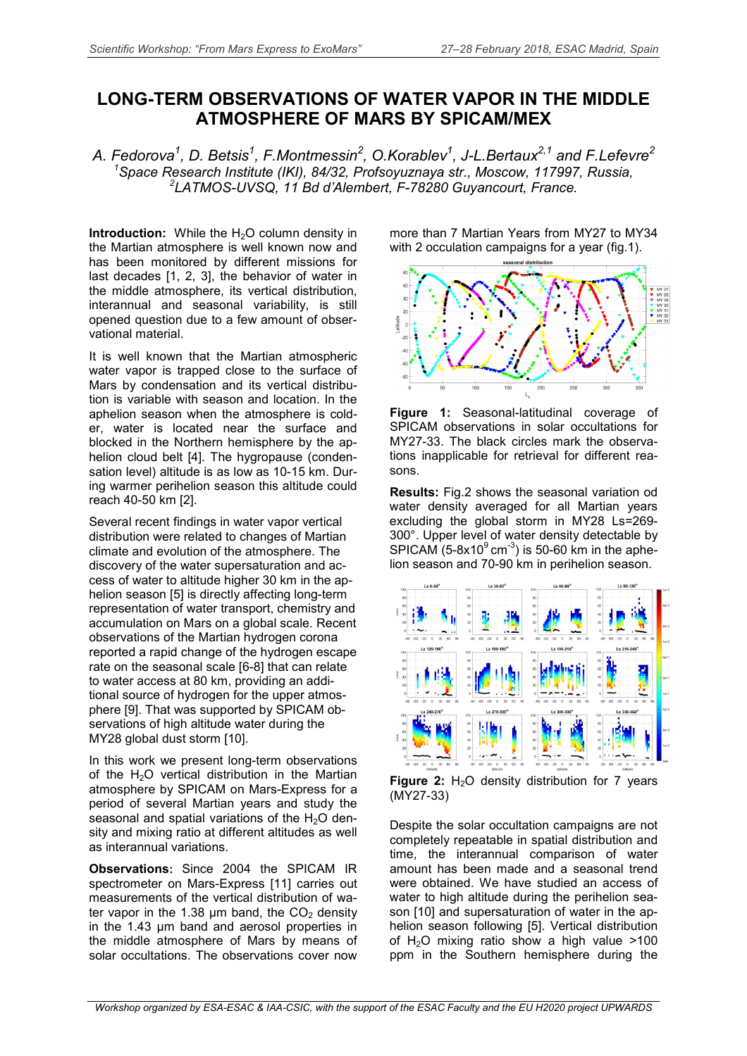## **LONG-TERM OBSERVATIONS OF WATER VAPOR IN THE MIDDLE ATMOSPHERE OF MARS BY SPICAM/MEX**

*A. Fedorova<sup>1</sup> , D. Betsis1 , F.Montmessin<sup>2</sup> , O.Korablev1 , J-L.Bertaux2,1 and F.Lefevre<sup>2</sup> 1 Space Research Institute (IKI), 84/32, Profsoyuznaya str., Moscow, 117997, Russia, <sup>2</sup> LATMOS-UVSQ, 11 Bd d'Alembert, F-78280 Guyancourt, France.*

**Introduction:** While the H<sub>2</sub>O column density in the Martian atmosphere is well known now and has been monitored by different missions for last decades [1, 2, 3], the behavior of water in the middle atmosphere, its vertical distribution, interannual and seasonal variability, is still opened question due to a few amount of observational material.

It is well known that the Martian atmospheric water vapor is trapped close to the surface of Mars by condensation and its vertical distribution is variable with season and location. In the aphelion season when the atmosphere is colder, water is located near the surface and blocked in the Northern hemisphere by the aphelion cloud belt [4]. The hygropause (condensation level) altitude is as low as 10-15 km. During warmer perihelion season this altitude could reach 40-50 km [2].

Several recent findings in water vapor vertical distribution were related to changes of Martian climate and evolution of the atmosphere. The discovery of the water supersaturation and access of water to altitude higher 30 km in the aphelion season [5] is directly affecting long-term representation of water transport, chemistry and accumulation on Mars on a global scale. Recent observations of the Martian hydrogen corona reported a rapid change of the hydrogen escape rate on the seasonal scale [6-8] that can relate to water access at 80 km, providing an additional source of hydrogen for the upper atmosphere [9]. That was supported by SPICAM observations of high altitude water during the MY28 global dust storm [10].

In this work we present long-term observations of the H<sub>2</sub>O vertical distribution in the Martian atmosphere by SPICAM on Mars-Express for a period of several Martian years and study the seasonal and spatial variations of the  $H_2O$  density and mixing ratio at different altitudes as well as interannual variations.

**Observations:** Since 2004 the SPICAM IR spectrometer on Mars-Express [11] carries out measurements of the vertical distribution of water vapor in the 1.38  $\mu$ m band, the CO<sub>2</sub> density in the 1.43 µm band and aerosol properties in the middle atmosphere of Mars by means of solar occultations. The observations cover now

more than 7 Martian Years from MY27 to MY34 with 2 occulation campaigns for a year (fig.1).



**Figure 1:** Seasonal-latitudinal coverage of SPICAM observations in solar occultations for MY27-33. The black circles mark the observations inapplicable for retrieval for different reasons.

**Results:** Fig.2 shows the seasonal variation od water density averaged for all Martian years excluding the global storm in MY28 Ls=269- 300°. Upper level of water density detectable by SPICAM  $(5-8x10^9 \text{ cm}^{-3})$  is 50-60 km in the aphelion season and 70-90 km in perihelion season.



**Figure 2:** H<sub>2</sub>O density distribution for 7 years (MY27-33)

Despite the solar occultation campaigns are not completely repeatable in spatial distribution and time, the interannual comparison of water amount has been made and a seasonal trend were obtained. We have studied an access of water to high altitude during the perihelion season [10] and supersaturation of water in the aphelion season following [5]. Vertical distribution of  $H<sub>2</sub>O$  mixing ratio show a high value  $>100$ ppm in the Southern hemisphere during the